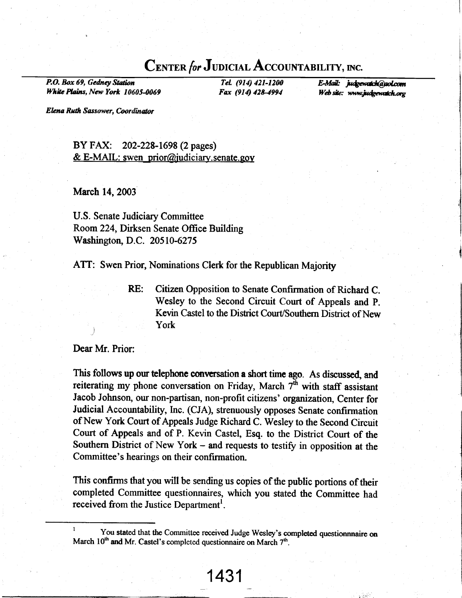### CENTER for JUDICIAL ACCOUNTABILITY, INC.

P.O. Box 69, Gedney Station White Plains, New York 10605-0069

Tel. (914) 421-1200 Fax (914) 428-4994

E-Mail: judgewatch@aol.com Web site: www.judgewatch.org

Elena Ruth Sassower, Coordinator

BY FAX: 202-228-1698 (2 pages) & E-MAIL: swen prior@judiciary.senate.gov

March 14, 2003

**U.S. Senate Judiciary Committee** Room 224, Dirksen Senate Office Building Washington, D.C. 20510-6275

ATT: Swen Prior, Nominations Clerk for the Republican Majority

RE: Citizen Opposition to Senate Confirmation of Richard C. Wesley to the Second Circuit Court of Appeals and P. Kevin Castel to the District Court/Southern District of New York

Dear Mr. Prior:

This follows up our telephone conversation a short time ago. As discussed, and reiterating my phone conversation on Friday, March  $7<sup>th</sup>$  with staff assistant Jacob Johnson, our non-partisan, non-profit citizens' organization, Center for Judicial Accountability, Inc. (CJA), strenuously opposes Senate confirmation of New York Court of Appeals Judge Richard C. Wesley to the Second Circuit Court of Appeals and of P. Kevin Castel, Esq. to the District Court of the Southern District of New York – and requests to testify in opposition at the Committee's hearings on their confirmation.

This confirms that you will be sending us copies of the public portions of their completed Committee questionnaires, which you stated the Committee had received from the Justice Department<sup>1</sup>.

You stated that the Committee received Judge Wesley's completed questionnnaire on March 10<sup>th</sup> and Mr. Castel's completed questionnaire on March 7<sup>th</sup>.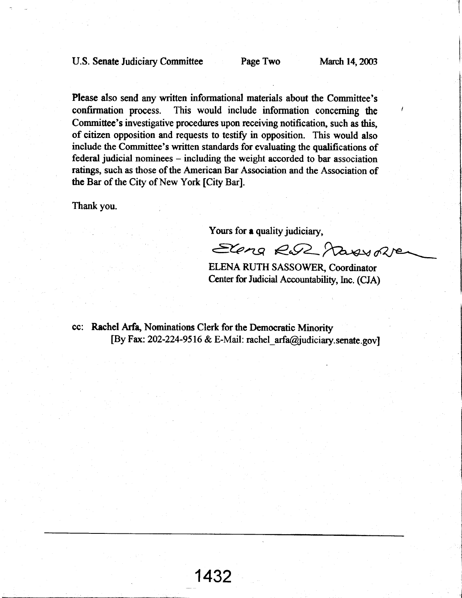Please also send any written informational materials about the Committee's confirmation process. This would include information concerning the Committec's investigative procedures upon receiving notification, such as this, of citizen opposition and requests to testify in opposition. This would also include the Committee's written standards for evaluating the qualifications of federal judicial nominees - including the weight accorded to bar association ratings, such as those of the American Bar Association and the Association of the Bar of the City of New York [City Bar].

Thank you.

Yours for a quality judiciary,

Sena R.R. Massone

ELENA RUTH SASSOWER, Coordinator Center for Judicial Accountability, Inc. (CJA)

cc: Rachel Arfa, Nominations Clerk for the Democratic Minority [By Fax: 202-224-9516 & E-Mail: rachel\_arfa@judiciary. senate.gov]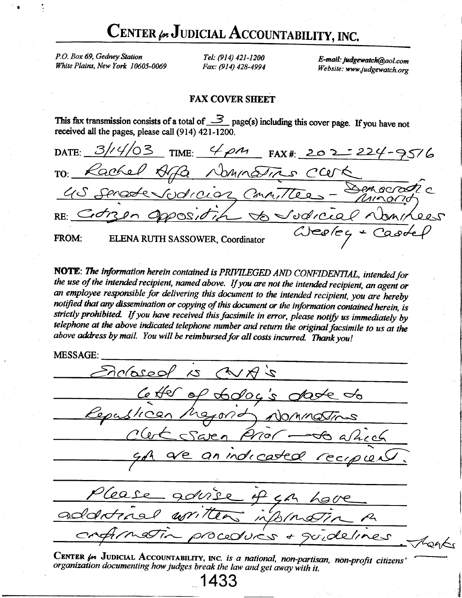# CENTER for JUDICIAL ACCOUNTABILITY, INC.

P.O. Box 69, Gedney Station White Plains, New York 10605-0069

Tel: (914) 421-1200 Fax: (914) 428-4994

E-mail: judgewatch@aol.com Website: www.judgewatch.org

#### **FAX COVER SHEET**

This fax transmission consists of a total of  $\frac{3}{5}$  page(s) including this cover page. If you have not received all the pages, please call (914) 421-1200.

 $31/41$ んろ TIME:  $4\rho$ M  $FAX#: 202$ DATE: Nomina  $odrccos$ Corpu  $\omega$ deca  $RE:$ EQ/C FROM: ELENA RUTH SASSOWER, Coordinator

NOTE: The information herein contained is PRIVILEGED AND CONFIDENTIAL, intended for the use of the intended recipient, named above. If you are not the intended recipient, an agent or an employee responsible for delivering this document to the intended recipient, you are hereby notified that any dissemination or copying of this document or the information contained herein, is strictly prohibited. If you have received this facsimile in error, please notify us immediately by telephone at the above indicated telephone number and return the original facsimile to us at the above address by mail. You will be reimbursed for all costs incurred. Thank you!

**MESSAGE:** 

nclos001  $2\lambda$  $\mathcal{L}$ 00000  $\overline{a}$  $\angle 0\sqrt{2}$ NOMMOSIN <u>iara</u> rgl arr, Proceducs toaks

CENTER for JUDICIAL ACCOUNTABILITY, INC. is a national, non-partisan, non-profit citizens organization documenting how judges break the law and get away with it.

433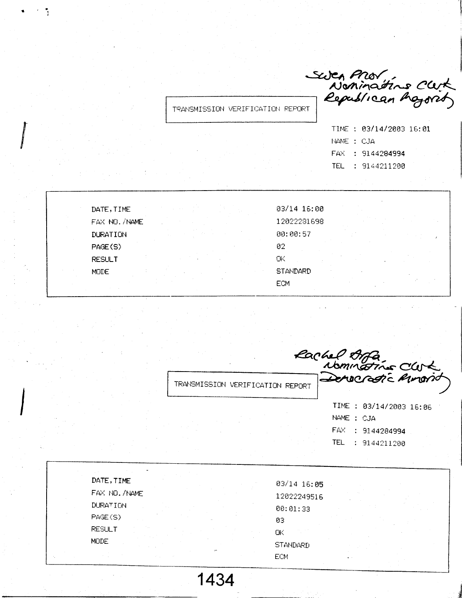Swen Prov<br>Noninations Clerk<br>— Republican Ingroity

TRANSMISSION VERIFICATION REPORT

|            | TIME : 03/14/2003 16:01 |  |
|------------|-------------------------|--|
| NAME : CJA |                         |  |
|            | FAX : 9144284994        |  |
|            | TEL : 9144211200        |  |

DATE, TIME FAX NO. /NAME DURATION PAGE(S) **RESULT MODE** 

 $\mathcal{F}=\mathcal{F}$ 

03/14 16:00 12022281698 00:00:57  $02<sub>1</sub>$ **OK STANDARD ECM** 

TRANSMISSION VERIFICATION REPORT

Pachel Arfa<br>Nominations Clubs<br>Derocratic Amorio TIME : 03/14/2003 16:06

NAME : CJA FAX : 9144284994 TEL : 9144211200

DATE, TIME 03/14 16:05 FAX NO. /NAME 12022249516 **DURATION**  $00:01:33$ PAGE(S) ØЗ **RESULT** ОK MODE **STANDARD ECM** 

1434